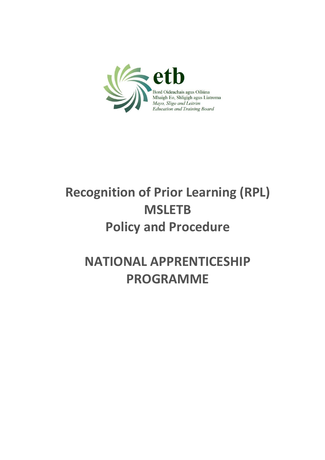

# **Recognition of Prior Learning (RPL) MSLETB Policy and Procedure**

## **NATIONAL APPRENTICESHIP PROGRAMME**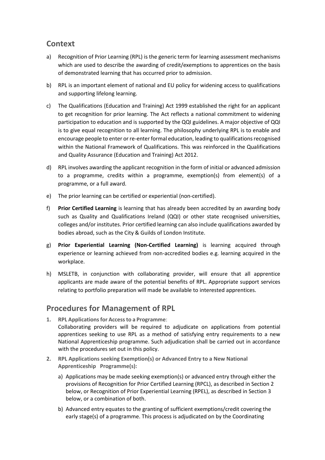### **Context**

- a) Recognition of Prior Learning (RPL) is the generic term for learning assessment mechanisms which are used to describe the awarding of credit/exemptions to apprentices on the basis of demonstrated learning that has occurred prior to admission.
- b) RPL is an important element of national and EU policy for widening access to qualifications and supporting lifelong learning.
- c) The Qualifications (Education and Training) Act 1999 established the right for an applicant to get recognition for prior learning. The Act reflects a national commitment to widening participation to education and is supported by the QQI guidelines. A major objective of QQI is to give equal recognition to all learning. The philosophy underlying RPL is to enable and encourage people to enter or re-enter formal education, leading to qualifications recognised within the National Framework of Qualifications. This was reinforced in the Qualifications and Quality Assurance (Education and Training) Act 2012.
- d) RPL involves awarding the applicant recognition in the form of initial or advanced admission to a programme, credits within a programme, exemption(s) from element(s) of a programme, or a full award.
- e) The prior learning can be certified or experiential (non-certified).
- f) **Prior Certified Learning** is learning that has already been accredited by an awarding body such as Quality and Qualifications Ireland (QQI) or other state recognised universities, colleges and/or institutes. Prior certified learning can also include qualifications awarded by bodies abroad, such as the City & Guilds of London Institute.
- g) **Prior Experiential Learning (Non-Certified Learning)** is learning acquired through experience or learning achieved from non-accredited bodies e.g. learning acquired in the workplace.
- h) MSLETB, in conjunction with collaborating provider, will ensure that all apprentice applicants are made aware of the potential benefits of RPL. Appropriate support services relating to portfolio preparation will made be available to interested apprentices.

### **Procedures for Management of RPL**

- **1. RPL Applicationsfor Accessto a Programme**: Collaborating providers will be required to adjudicate on applications from potential apprentices seeking to use RPL as a method of satisfying entry requirements to a new National Apprenticeship programme. Such adjudication shall be carried out in accordance with the procedures set out in this policy.
- **2. RPL Applications seeking Exemption(s) or Advanced Entry to a New National Apprenticeship Programme(s):**
	- a) Applications may be made seeking exemption(s) or advanced entry through either the provisions of Recognition for Prior Certified Learning (RPCL), as described in Section 2 below, or Recognition of Prior Experiential Learning (RPEL), as described in Section 3 below, or a combination of both.
	- b) Advanced entry equates to the granting of sufficient exemptions/credit covering the early stage(s) of a programme. This process is adjudicated on by the Coordinating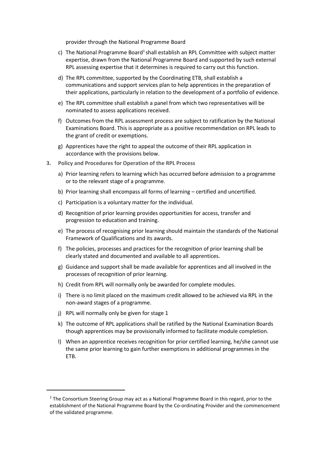provider through the National Programme Board

- c) The National Programme Board<sup>1</sup> shall establish an RPL Committee with subject matter expertise, drawn from the National Programme Board and supported by such external RPL assessing expertise that it determines is required to carry out this function.
- d) The RPL committee, supported by the Coordinating ETB, shall establish a communications and support services plan to help apprentices in the preparation of their applications, particularly in relation to the development of a portfolio of evidence.
- e) The RPL committee shall establish a panel from which two representatives will be nominated to assess applications received.
- f) Outcomes from the RPL assessment process are subject to ratification by the National Examinations Board. This is appropriate as a positive recommendation on RPL leads to the grant of credit or exemptions.
- g) Apprentices have the right to appeal the outcome of their RPL application in accordance with the provisions below.
- **3. Policy and Procedures for Operation of the RPL Process**
	- a) Prior learning refers to learning which has occurred before admission to a programme or to the relevant stage of a programme.
	- b) Prior learning shall encompass all forms of learning certified and uncertified.
	- c) Participation is a voluntary matter for the individual.
	- d) Recognition of prior learning provides opportunities for access, transfer and progression to education and training.
	- e) The process of recognising prior learning should maintain the standards of the National Framework of Qualifications and its awards.
	- f) The policies, processes and practices for the recognition of prior learning shall be clearly stated and documented and available to all apprentices.
	- g) Guidance and support shall be made available for apprentices and all involved in the processes of recognition of prior learning.
	- h) Credit from RPL will normally only be awarded for complete modules.
	- i) There is no limit placed on the maximum credit allowed to be achieved via RPL in the non-award stages of a programme.
	- j) RPL will normally only be given for stage 1

**.** 

- k) The outcome of RPL applications shall be ratified by the National Examination Boards though apprentices may be provisionally informed to facilitate module completion.
- l) When an apprentice receives recognition for prior certified learning, he/she cannot use the same prior learning to gain further exemptions in additional programmes in the ETB.

 $<sup>1</sup>$  The Consortium Steering Group may act as a National Programme Board in this regard, prior to the</sup> establishment of the National Programme Board by the Co-ordinating Provider and the commencement of the validated programme.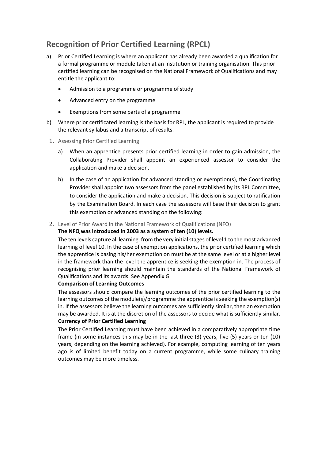## **Recognition of Prior Certified Learning (RPCL)**

- a) Prior Certified Learning is where an applicant has already been awarded a qualification for a formal programme or module taken at an institution or training organisation. This prior certified learning can be recognised on the National Framework of Qualifications and may entitle the applicant to:
	- Admission to a programme or programme of study
	- Advanced entry on the programme
	- Exemptions from some parts of a programme
- b) Where prior certificated learning is the basis for RPL, the applicant is required to provide the relevant syllabus and a transcript of results.
- 1. Assessing Prior Certified Learning
	- a) When an apprentice presents prior certified learning in order to gain admission, the Collaborating Provider shall appoint an experienced assessor to consider the application and make a decision.
	- b) In the case of an application for advanced standing or exemption(s), the Coordinating Provider shall appoint two assessors from the panel established by its RPL Committee, to consider the application and make a decision. This decision is subject to ratification by the Examination Board. In each case the assessors will base their decision to grant this exemption or advanced standing on the following:
- 2. Level of Prior Award in the National Framework of Qualifications (NFQ)

#### **The NFQ was introduced in 2003 as a system of ten (10) levels.**

The ten levels capture all learning, from the very initial stages of level 1 to the most advanced learning of level 10. In the case of exemption applications, the prior certified learning which the apprentice is basing his/her exemption on must be at the same level or at a higher level in the framework than the level the apprentice is seeking the exemption in. The process of recognising prior learning should maintain the standards of the National Framework of Qualifications and its awards. See Appendix G

#### **Comparison of Learning Outcomes**

The assessors should compare the learning outcomes of the prior certified learning to the learning outcomes of the module(s)/programme the apprentice is seeking the exemption(s) in. If the assessors believe the learning outcomes are sufficiently similar, then an exemption may be awarded. It is at the discretion of the assessors to decide what is sufficiently similar. **Currency of Prior Certified Learning**

The Prior Certified Learning must have been achieved in a comparatively appropriate time frame (in some instances this may be in the last three (3) years, five (5) years or ten (10) years, depending on the learning achieved). For example, computing learning of ten years ago is of limited benefit today on a current programme, while some culinary training outcomes may be more timeless.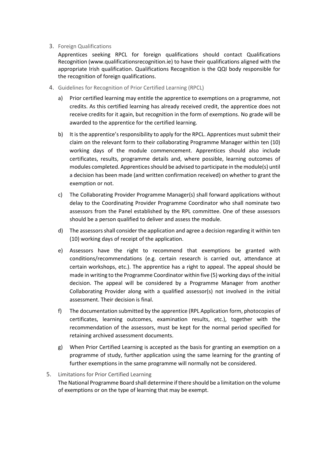#### 3. Foreign Qualifications

Apprentices seeking RPCL for foreign qualifications should contact Qualifications Recognition (www.qualificationsrecognition.ie) to have their qualifications aligned with the appropriate Irish qualification. Qualifications Recognition is the QQI body responsible for the recognition of foreign qualifications.

- 4. Guidelines for Recognition of Prior Certified Learning (RPCL)
	- a) Prior certified learning may entitle the apprentice to exemptions on a programme, not credits. As this certified learning has already received credit, the apprentice does not receive credits for it again, but recognition in the form of exemptions. No grade will be awarded to the apprentice for the certified learning.
	- b) It is the apprentice's responsibility to apply for the RPCL. Apprentices must submit their claim on the relevant form to their collaborating Programme Manager within ten (10) working days of the module commencement. Apprentices should also include certificates, results, programme details and, where possible, learning outcomes of modules completed. Apprentices should be advised to participate in the module(s) until a decision has been made (and written confirmation received) on whether to grant the exemption or not.
	- c) The Collaborating Provider Programme Manager(s) shall forward applications without delay to the Coordinating Provider Programme Coordinator who shall nominate two assessors from the Panel established by the RPL committee. One of these assessors should be a person qualified to deliver and assess the module.
	- d) The assessors shall consider the application and agree a decision regarding it within ten (10) working days of receipt of the application.
	- e) Assessors have the right to recommend that exemptions be granted with conditions/recommendations (e.g. certain research is carried out, attendance at certain workshops, etc.). The apprentice has a right to appeal. The appeal should be made in writing to the Programme Coordinator within five (5) working days of the initial decision. The appeal will be considered by a Programme Manager from another Collaborating Provider along with a qualified assessor(s) not involved in the initial assessment. Their decision is final.
	- f) The documentation submitted by the apprentice (RPL Application form, photocopies of certificates, learning outcomes, examination results, etc.), together with the recommendation of the assessors, must be kept for the normal period specified for retaining archived assessment documents.
	- g) When Prior Certified Learning is accepted as the basis for granting an exemption on a programme of study, further application using the same learning for the granting of further exemptions in the same programme will normally not be considered.

#### 5. Limitations for Prior Certified Learning

The National Programme Board shall determine if there should be a limitation on the volume of exemptions or on the type of learning that may be exempt.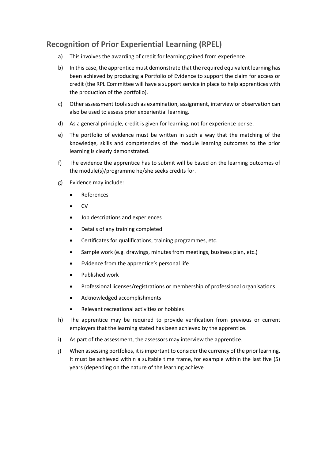## **Recognition of Prior Experiential Learning (RPEL)**

- a) This involves the awarding of credit for learning gained from experience.
- b) In this case, the apprentice must demonstrate that the required equivalent learning has been achieved by producing a Portfolio of Evidence to support the claim for access or credit (the RPL Committee will have a support service in place to help apprentices with the production of the portfolio).
- c) Other assessment tools such as examination, assignment, interview or observation can also be used to assess prior experiential learning.
- d) As a general principle, credit is given for learning, not for experience per se.
- e) The portfolio of evidence must be written in such a way that the matching of the knowledge, skills and competencies of the module learning outcomes to the prior learning is clearly demonstrated.
- f) The evidence the apprentice has to submit will be based on the learning outcomes of the module(s)/programme he/she seeks credits for.
- g) Evidence may include:
	- References
	- $\bullet$  CV
	- Job descriptions and experiences
	- Details of any training completed
	- Certificates for qualifications, training programmes, etc.
	- Sample work (e.g. drawings, minutes from meetings, business plan, etc.)
	- Evidence from the apprentice's personal life
	- Published work
	- Professional licenses/registrations or membership of professional organisations
	- Acknowledged accomplishments
	- Relevant recreational activities or hobbies
- h) The apprentice may be required to provide verification from previous or current employers that the learning stated has been achieved by the apprentice.
- i) As part of the assessment, the assessors may interview the apprentice.
- j) When assessing portfolios, it is important to consider the currency of the prior learning. It must be achieved within a suitable time frame, for example within the last five (5) years (depending on the nature of the learning achieve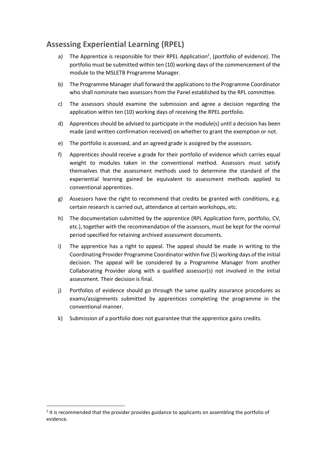## **Assessing Experiential Learning (RPEL)**

- a) The Apprentice is responsible for their RPEL Application<sup>2</sup>, (portfolio of evidence). The portfolio must be submitted within ten (10) working days of the commencement of the module to the MSLETB Programme Manager.
- b) The Programme Manager shall forward the applications to the Programme Coordinator who shall nominate two assessors from the Panel established by the RPL committee.
- c) The assessors should examine the submission and agree a decision regarding the application within ten (10) working days of receiving the RPEL portfolio.
- d) Apprentices should be advised to participate in the module(s) until a decision has been made (and written confirmation received) on whether to grant the exemption or not.
- e) The portfolio is assessed, and an agreed grade is assigned by the assessors.
- f) Apprentices should receive a grade for their portfolio of evidence which carries equal weight to modules taken in the conventional method. Assessors must satisfy themselves that the assessment methods used to determine the standard of the experiential learning gained be equivalent to assessment methods applied to conventional apprentices.
- g) Assessors have the right to recommend that credits be granted with conditions, e.g. certain research is carried out, attendance at certain workshops, etc.
- h) The documentation submitted by the apprentice (RPL Application form, portfolio, CV, etc.), together with the recommendation of the assessors, must be kept for the normal period specified for retaining archived assessment documents.
- i) The apprentice has a right to appeal. The appeal should be made in writing to the Coordinating Provider Programme Coordinator within five (5) working days of the initial decision. The appeal will be considered by a Programme Manager from another Collaborating Provider along with a qualified assessor(s) not involved in the initial assessment. Their decision is final.
- j) Portfolios of evidence should go through the same quality assurance procedures as exams/assignments submitted by apprentices completing the programme in the conventional manner.
- k) Submission of a portfolio does not guarantee that the apprentice gains credits.

1

 $2$  It is recommended that the provider provides guidance to applicants on assembling the portfolio of evidence.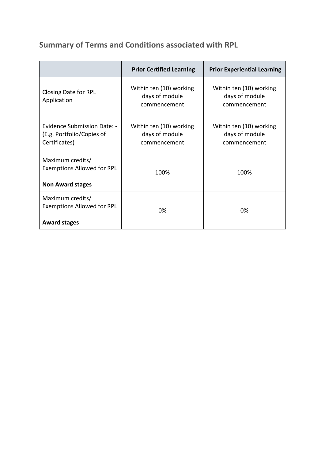**Summary of Terms and Conditions associated with RPL**

|                                                                                  | <b>Prior Certified Learning</b>                           | <b>Prior Experiential Learning</b>                        |
|----------------------------------------------------------------------------------|-----------------------------------------------------------|-----------------------------------------------------------|
| <b>Closing Date for RPL</b><br>Application                                       | Within ten (10) working<br>days of module<br>commencement | Within ten (10) working<br>days of module<br>commencement |
| Evidence Submission Date: -<br>(E.g. Portfolio/Copies of<br>Certificates)        | Within ten (10) working<br>days of module<br>commencement | Within ten (10) working<br>days of module<br>commencement |
| Maximum credits/<br><b>Exemptions Allowed for RPL</b><br><b>Non Award stages</b> | 100%                                                      | 100%                                                      |
| Maximum credits/<br><b>Exemptions Allowed for RPL</b><br><b>Award stages</b>     | 0%                                                        | 0%                                                        |